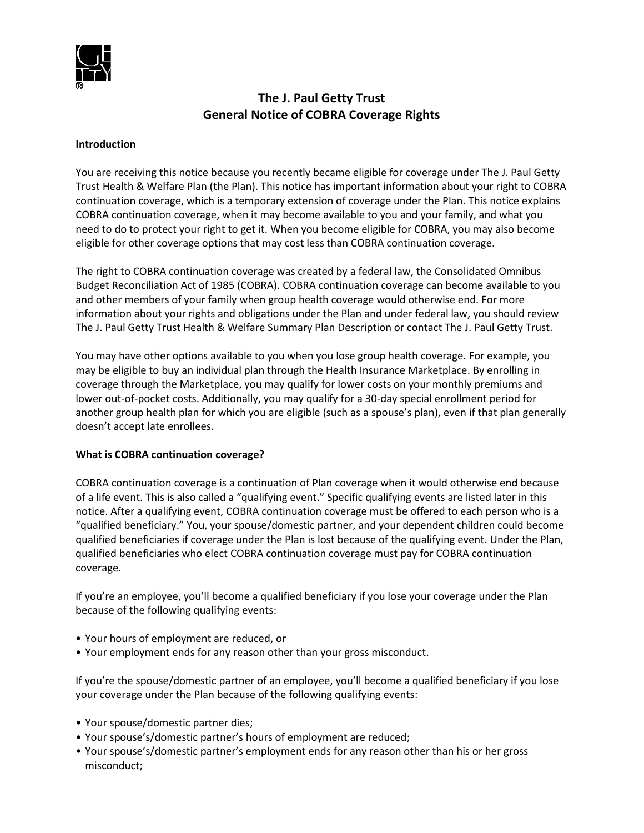

# **The J. Paul Getty Trust General Notice of COBRA Coverage Rights**

#### **Introduction**

You are receiving this notice because you recently became eligible for coverage under The J. Paul Getty Trust Health & Welfare Plan (the Plan). This notice has important information about your right to COBRA continuation coverage, which is a temporary extension of coverage under the Plan. This notice explains COBRA continuation coverage, when it may become available to you and your family, and what you need to do to protect your right to get it. When you become eligible for COBRA, you may also become eligible for other coverage options that may cost less than COBRA continuation coverage.

The right to COBRA continuation coverage was created by a federal law, the Consolidated Omnibus Budget Reconciliation Act of 1985 (COBRA). COBRA continuation coverage can become available to you and other members of your family when group health coverage would otherwise end. For more information about your rights and obligations under the Plan and under federal law, you should review The J. Paul Getty Trust Health & Welfare Summary Plan Description or contact The J. Paul Getty Trust.

You may have other options available to you when you lose group health coverage. For example, you may be eligible to buy an individual plan through the Health Insurance Marketplace. By enrolling in coverage through the Marketplace, you may qualify for lower costs on your monthly premiums and lower out-of-pocket costs. Additionally, you may qualify for a 30-day special enrollment period for another group health plan for which you are eligible (such as a spouse's plan), even if that plan generally doesn't accept late enrollees.

## **What is COBRA continuation coverage?**

COBRA continuation coverage is a continuation of Plan coverage when it would otherwise end because of a life event. This is also called a "qualifying event." Specific qualifying events are listed later in this notice. After a qualifying event, COBRA continuation coverage must be offered to each person who is a "qualified beneficiary." You, your spouse/domestic partner, and your dependent children could become qualified beneficiaries if coverage under the Plan is lost because of the qualifying event. Under the Plan, qualified beneficiaries who elect COBRA continuation coverage must pay for COBRA continuation coverage.

If you're an employee, you'll become a qualified beneficiary if you lose your coverage under the Plan because of the following qualifying events:

- Your hours of employment are reduced, or
- Your employment ends for any reason other than your gross misconduct.

If you're the spouse/domestic partner of an employee, you'll become a qualified beneficiary if you lose your coverage under the Plan because of the following qualifying events:

- Your spouse/domestic partner dies;
- Your spouse's/domestic partner's hours of employment are reduced;
- Your spouse's/domestic partner's employment ends for any reason other than his or her gross misconduct;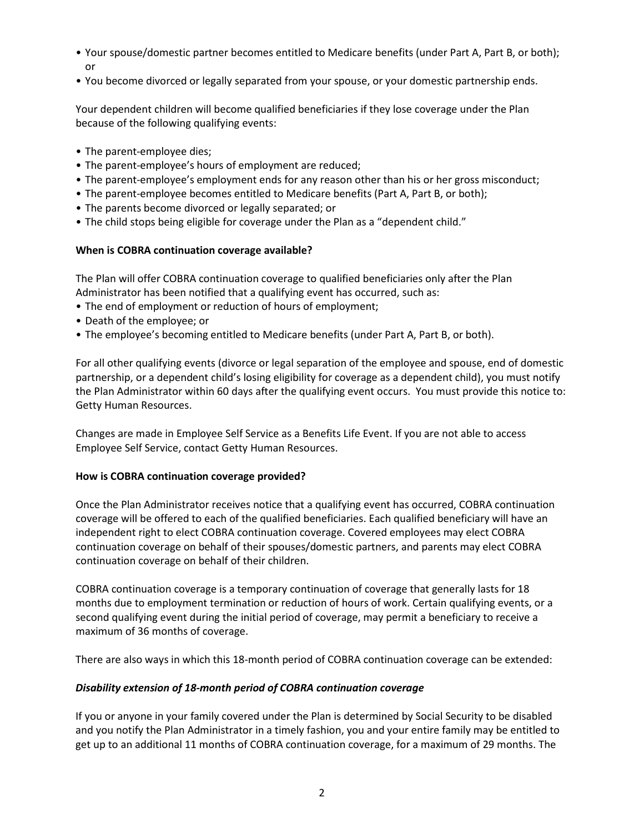- Your spouse/domestic partner becomes entitled to Medicare benefits (under Part A, Part B, or both); or
- You become divorced or legally separated from your spouse, or your domestic partnership ends.

Your dependent children will become qualified beneficiaries if they lose coverage under the Plan because of the following qualifying events:

- The parent-employee dies;
- The parent-employee's hours of employment are reduced;
- The parent-employee's employment ends for any reason other than his or her gross misconduct;
- The parent-employee becomes entitled to Medicare benefits (Part A, Part B, or both);
- The parents become divorced or legally separated; or
- The child stops being eligible for coverage under the Plan as a "dependent child."

## **When is COBRA continuation coverage available?**

The Plan will offer COBRA continuation coverage to qualified beneficiaries only after the Plan Administrator has been notified that a qualifying event has occurred, such as:

- The end of employment or reduction of hours of employment;
- Death of the employee; or
- The employee's becoming entitled to Medicare benefits (under Part A, Part B, or both).

For all other qualifying events (divorce or legal separation of the employee and spouse, end of domestic partnership, or a dependent child's losing eligibility for coverage as a dependent child), you must notify the Plan Administrator within 60 days after the qualifying event occurs. You must provide this notice to: Getty Human Resources.

Changes are made in Employee Self Service as a Benefits Life Event. If you are not able to access Employee Self Service, contact Getty Human Resources.

## **How is COBRA continuation coverage provided?**

Once the Plan Administrator receives notice that a qualifying event has occurred, COBRA continuation coverage will be offered to each of the qualified beneficiaries. Each qualified beneficiary will have an independent right to elect COBRA continuation coverage. Covered employees may elect COBRA continuation coverage on behalf of their spouses/domestic partners, and parents may elect COBRA continuation coverage on behalf of their children.

COBRA continuation coverage is a temporary continuation of coverage that generally lasts for 18 months due to employment termination or reduction of hours of work. Certain qualifying events, or a second qualifying event during the initial period of coverage, may permit a beneficiary to receive a maximum of 36 months of coverage.

There are also ways in which this 18-month period of COBRA continuation coverage can be extended:

## *Disability extension of 18-month period of COBRA continuation coverage*

If you or anyone in your family covered under the Plan is determined by Social Security to be disabled and you notify the Plan Administrator in a timely fashion, you and your entire family may be entitled to get up to an additional 11 months of COBRA continuation coverage, for a maximum of 29 months. The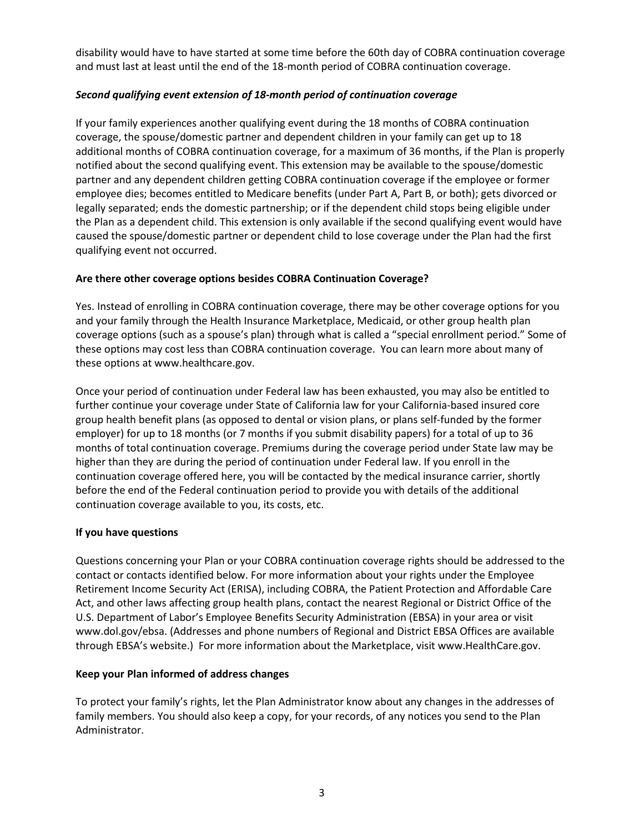disability would have to have started at some time before the 60th day of COBRA continuation coverage and must last at least until the end of the 18-month period of COBRA continuation coverage.

## *Second qualifying event extension of 18-month period of continuation coverage*

If your family experiences another qualifying event during the 18 months of COBRA continuation coverage, the spouse/domestic partner and dependent children in your family can get up to 18 additional months of COBRA continuation coverage, for a maximum of 36 months, if the Plan is properly notified about the second qualifying event. This extension may be available to the spouse/domestic partner and any dependent children getting COBRA continuation coverage if the employee or former employee dies; becomes entitled to Medicare benefits (under Part A, Part B, or both); gets divorced or legally separated; ends the domestic partnership; or if the dependent child stops being eligible under the Plan as a dependent child. This extension is only available if the second qualifying event would have caused the spouse/domestic partner or dependent child to lose coverage under the Plan had the first qualifying event not occurred.

## **Are there other coverage options besides COBRA Continuation Coverage?**

Yes. Instead of enrolling in COBRA continuation coverage, there may be other coverage options for you and your family through the Health Insurance Marketplace, Medicaid, or other group health plan coverage options (such as a spouse's plan) through what is called a "special enrollment period." Some of these options may cost less than COBRA continuation coverage. You can learn more about many of these options at www.healthcare.gov.

Once your period of continuation under Federal law has been exhausted, you may also be entitled to further continue your coverage under State of California law for your California-based insured core group health benefit plans (as opposed to dental or vision plans, or plans self-funded by the former employer) for up to 18 months (or 7 months if you submit disability papers) for a total of up to 36 months of total continuation coverage. Premiums during the coverage period under State law may be higher than they are during the period of continuation under Federal law. If you enroll in the continuation coverage offered here, you will be contacted by the medical insurance carrier, shortly before the end of the Federal continuation period to provide you with details of the additional continuation coverage available to you, its costs, etc.

# **If you have questions**

Questions concerning your Plan or your COBRA continuation coverage rights should be addressed to the contact or contacts identified below. For more information about your rights under the Employee Retirement Income Security Act (ERISA), including COBRA, the Patient Protection and Affordable Care Act, and other laws affecting group health plans, contact the nearest Regional or District Office of the U.S. Department of Labor's Employee Benefits Security Administration (EBSA) in your area or visit www.dol.gov/ebsa. (Addresses and phone numbers of Regional and District EBSA Offices are available through EBSA's website.) For more information about the Marketplace, visit www.HealthCare.gov.

# **Keep your Plan informed of address changes**

To protect your family's rights, let the Plan Administrator know about any changes in the addresses of family members. You should also keep a copy, for your records, of any notices you send to the Plan Administrator.